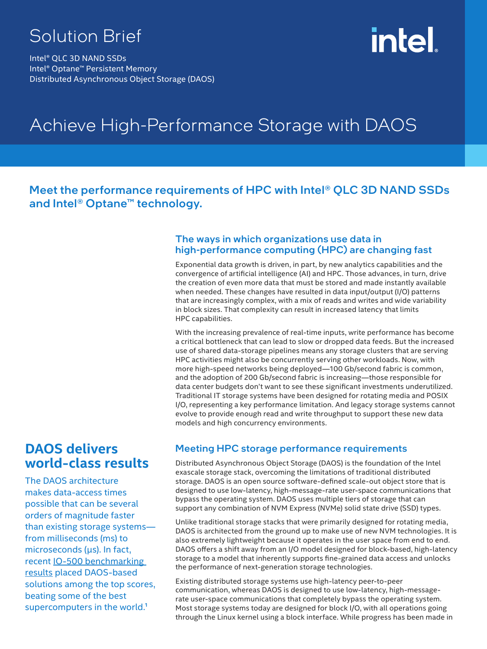# Solution Brief

Intel® QLC 3D NAND SSDs Intel® Optane™ Persistent Memory Distributed Asynchronous Object Storage (DAOS)

# intel

# Achieve High-Performance Storage with DAOS

# Meet the performance requirements of HPC with Intel® QLC 3D NAND SSDs and Intel<sup>®</sup> Optane<sup>™</sup> technology.

### The ways in which organizations use data in high-performance computing (HPC) are changing fast

Exponential data growth is driven, in part, by new analytics capabilities and the convergence of artificial intelligence (AI) and HPC. Those advances, in turn, drive the creation of even more data that must be stored and made instantly available when needed. These changes have resulted in data input/output (I/O) patterns that are increasingly complex, with a mix of reads and writes and wide variability in block sizes. That complexity can result in increased latency that limits HPC capabilities.

With the increasing prevalence of real-time inputs, write performance has become a critical bottleneck that can lead to slow or dropped data feeds. But the increased use of shared data-storage pipelines means any storage clusters that are serving HPC activities might also be concurrently serving other workloads. Now, with more high-speed networks being deployed—100 Gb/second fabric is common, and the adoption of 200 Gb/second fabric is increasing—those responsible for data center budgets don't want to see these significant investments underutilized. Traditional IT storage systems have been designed for rotating media and POSIX I/O, representing a key performance limitation. And legacy storage systems cannot evolve to provide enough read and write throughput to support these new data models and high concurrency environments.

# **DAOS delivers world-class results**

The DAOS architecture makes data-access times possible that can be several orders of magnitude faster than existing storage systems from milliseconds (ms) to microseconds (µs). In fact, recent [IO-500 benchmarking](https://io500.org/)  [results](https://io500.org/) placed DAOS-based solutions among the top scores, beating some of the best supercomputers in the world. $<sup>1</sup>$ </sup>

# Meeting HPC storage performance requirements

Distributed Asynchronous Object Storage (DAOS) is the foundation of the Intel exascale storage stack, overcoming the limitations of traditional distributed storage. DAOS is an open source software-defined scale-out object store that is designed to use low-latency, high-message-rate user-space communications that bypass the operating system. DAOS uses multiple tiers of storage that can support any combination of NVM Express (NVMe) solid state drive (SSD) types.

Unlike traditional storage stacks that were primarily designed for rotating media, DAOS is architected from the ground up to make use of new NVM technologies. It is also extremely lightweight because it operates in the user space from end to end. DAOS offers a shift away from an I/O model designed for block-based, high-latency storage to a model that inherently supports fine-grained data access and unlocks the performance of next-generation storage technologies.

Existing distributed storage systems use high-latency peer-to-peer communication, whereas DAOS is designed to use low-latency, high-messagerate user-space communications that completely bypass the operating system. Most storage systems today are designed for block I/O, with all operations going through the Linux kernel using a block interface. While progress has been made in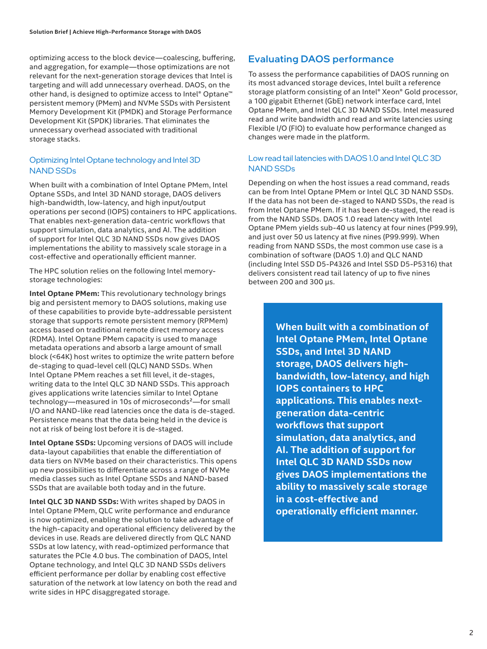optimizing access to the block device—coalescing, buffering, and aggregation, for example—those optimizations are not relevant for the next-generation storage devices that Intel is targeting and will add unnecessary overhead. DAOS, on the other hand, is designed to optimize access to Intel® Optane™ persistent memory (PMem) and NVMe SSDs with Persistent Memory Development Kit (PMDK) and Storage Performance Development Kit (SPDK) libraries. That eliminates the unnecessary overhead associated with traditional storage stacks.

#### Optimizing Intel Optane technology and Intel 3D NAND SSDs

When built with a combination of Intel Optane PMem, Intel Optane SSDs, and Intel 3D NAND storage, DAOS delivers high-bandwidth, low-latency, and high input/output operations per second (IOPS) containers to HPC applications. That enables next-generation data-centric workflows that support simulation, data analytics, and AI. The addition of support for Intel QLC 3D NAND SSDs now gives DAOS implementations the ability to massively scale storage in a cost-effective and operationally efficient manner.

The HPC solution relies on the following Intel memorystorage technologies:

**Intel Optane PMem:** This revolutionary technology brings big and persistent memory to DAOS solutions, making use of these capabilities to provide byte-addressable persistent storage that supports remote persistent memory (RPMem) access based on traditional remote direct memory access (RDMA). Intel Optane PMem capacity is used to manage metadata operations and absorb a large amount of small block (<64K) host writes to optimize the write pattern before de-staging to quad-level cell (QLC) NAND SSDs. When Intel Optane PMem reaches a set fill level, it de-stages, writing data to the Intel QLC 3D NAND SSDs. This approach gives applications write latencies similar to Intel Optane technology—measured in 10s of microseconds²—for small I/O and NAND-like read latencies once the data is de-staged. Persistence means that the data being held in the device is not at risk of being lost before it is de-staged.

**Intel Optane SSDs:** Upcoming versions of DAOS will include data-layout capabilities that enable the differentiation of data tiers on NVMe based on their characteristics. This opens up new possibilities to differentiate across a range of NVMe media classes such as Intel Optane SSDs and NAND-based SSDs that are available both today and in the future.

**Intel QLC 3D NAND SSDs:** With writes shaped by DAOS in Intel Optane PMem, QLC write performance and endurance is now optimized, enabling the solution to take advantage of the high-capacity and operational efficiency delivered by the devices in use. Reads are delivered directly from QLC NAND SSDs at low latency, with read-optimized performance that saturates the PCIe 4.0 bus. The combination of DAOS, Intel Optane technology, and Intel QLC 3D NAND SSDs delivers efficient performance per dollar by enabling cost effective saturation of the network at low latency on both the read and write sides in HPC disaggregated storage.

## Evaluating DAOS performance

To assess the performance capabilities of DAOS running on its most advanced storage devices, Intel built a reference storage platform consisting of an Intel® Xeon® Gold processor, a 100 gigabit Ethernet (GbE) network interface card, Intel Optane PMem, and Intel QLC 3D NAND SSDs. Intel measured read and write bandwidth and read and write latencies using Flexible I/O (FIO) to evaluate how performance changed as changes were made in the platform.

#### Low read tail latencies with DAOS 1.0 and Intel QLC 3D NAND SSDs

Depending on when the host issues a read command, reads can be from Intel Optane PMem or Intel QLC 3D NAND SSDs. If the data has not been de-staged to NAND SSDs, the read is from Intel Optane PMem. If it has been de-staged, the read is from the NAND SSDs. DAOS 1.0 read latency with Intel Optane PMem yields sub-40 us latency at four nines (P99.99), and just over 50 us latency at five nines (P99.999). When reading from NAND SSDs, the most common use case is a combination of software (DAOS 1.0) and QLC NAND (including Intel SSD D5-P4326 and Intel SSD D5-P5316) that delivers consistent read tail latency of up to five nines between 200 and 300 µs.

> **When built with a combination of Intel Optane PMem, Intel Optane SSDs, and Intel 3D NAND storage, DAOS delivers highbandwidth, low-latency, and high IOPS containers to HPC applications. This enables nextgeneration data-centric workflows that support simulation, data analytics, and AI. The addition of support for Intel QLC 3D NAND SSDs now gives DAOS implementations the ability to massively scale storage in a cost-effective and operationally efficient manner.**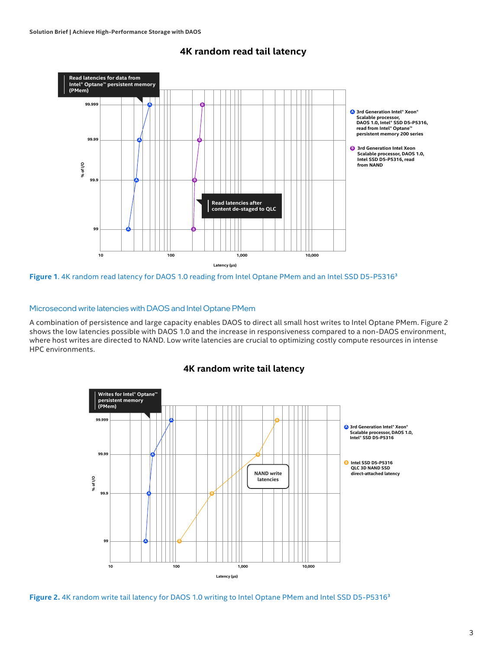

#### **4K random read tail latency**

Figure 1. 4K random read latency for DAOS 1.0 reading from Intel Optane PMem and an Intel SSD D5-P5316<sup>3</sup>

#### Microsecond write latencies with DAOS and Intel Optane PMem

A combination of persistence and large capacity enables DAOS to direct all small host writes to Intel Optane PMem. Figure 2 shows the low latencies possible with DAOS 1.0 and the increase in responsiveness compared to a non-DAOS environment, where host writes are directed to NAND. Low write latencies are crucial to optimizing costly compute resources in intense HPC environments.





Figure 2. 4K random write tail latency for DAOS 1.0 writing to Intel Optane PMem and Intel SSD D5-P5316<sup>3</sup>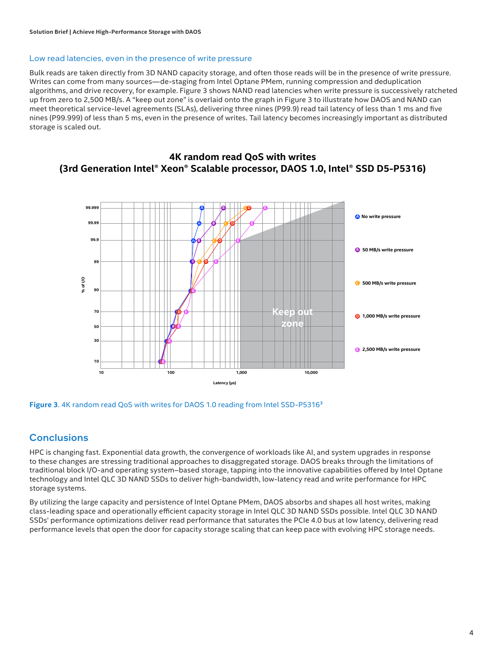#### Low read latencies, even in the presence of write pressure

Bulk reads are taken directly from 3D NAND capacity storage, and often those reads will be in the presence of write pressure. Writes can come from many sources—de-staging from Intel Optane PMem, running compression and deduplication algorithms, and drive recovery, for example. Figure 3 shows NAND read latencies when write pressure is successively ratcheted up from zero to 2,500 MB/s. A "keep out zone" is overlaid onto the graph in Figure 3 to illustrate how DAOS and NAND can meet theoretical service-level agreements (SLAs), delivering three nines (P99.9) read tail latency of less than 1 ms and five nines (P99.999) of less than 5 ms, even in the presence of writes. Tail latency becomes increasingly important as distributed storage is scaled out.





Figure 3.4K random read QoS with writes for DAOS 1.0 reading from Intel SSD-P5316<sup>3</sup>

## **Conclusions**

HPC is changing fast. Exponential data growth, the convergence of workloads like AI, and system upgrades in response to these changes are stressing traditional approaches to disaggregated storage. DAOS breaks through the limitations of traditional block I/O-and operating system–based storage, tapping into the innovative capabilities offered by Intel Optane technology and Intel QLC 3D NAND SSDs to deliver high-bandwidth, low-latency read and write performance for HPC storage systems.

By utilizing the large capacity and persistence of Intel Optane PMem, DAOS absorbs and shapes all host writes, making class-leading space and operationally efficient capacity storage in Intel QLC 3D NAND SSDs possible. Intel QLC 3D NAND SSDs' performance optimizations deliver read performance that saturates the PCIe 4.0 bus at low latency, delivering read performance levels that open the door for capacity storage scaling that can keep pace with evolving HPC storage needs.